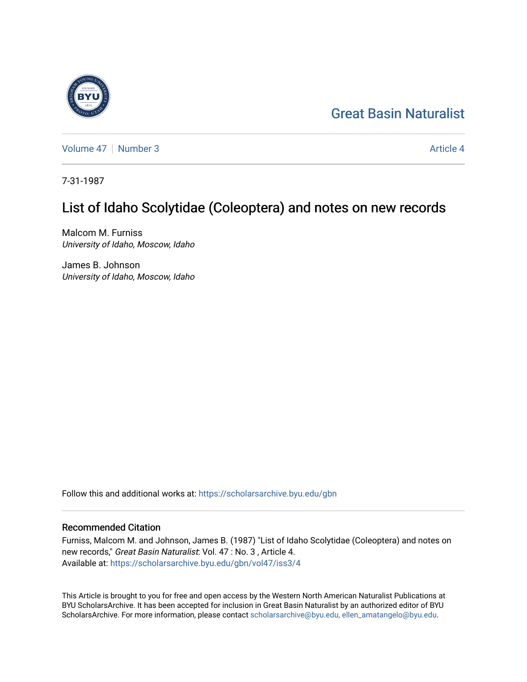## [Great Basin Naturalist](https://scholarsarchive.byu.edu/gbn)



[Volume 47](https://scholarsarchive.byu.edu/gbn/vol47) | [Number 3](https://scholarsarchive.byu.edu/gbn/vol47/iss3) Article 4

7-31-1987

# List of Idaho Scolytidae (Coleoptera) and notes on new records

Malcom M. Furniss University of Idaho, Moscow, Idaho

James B. Johnson University of Idaho, Moscow, Idaho

Follow this and additional works at: [https://scholarsarchive.byu.edu/gbn](https://scholarsarchive.byu.edu/gbn?utm_source=scholarsarchive.byu.edu%2Fgbn%2Fvol47%2Fiss3%2F4&utm_medium=PDF&utm_campaign=PDFCoverPages) 

## Recommended Citation

Furniss, Malcom M. and Johnson, James B. (1987) "List of Idaho Scolytidae (Coleoptera) and notes on new records," Great Basin Naturalist: Vol. 47 : No. 3 , Article 4. Available at: [https://scholarsarchive.byu.edu/gbn/vol47/iss3/4](https://scholarsarchive.byu.edu/gbn/vol47/iss3/4?utm_source=scholarsarchive.byu.edu%2Fgbn%2Fvol47%2Fiss3%2F4&utm_medium=PDF&utm_campaign=PDFCoverPages)

This Article is brought to you for free and open access by the Western North American Naturalist Publications at BYU ScholarsArchive. It has been accepted for inclusion in Great Basin Naturalist by an authorized editor of BYU ScholarsArchive. For more information, please contact [scholarsarchive@byu.edu, ellen\\_amatangelo@byu.edu.](mailto:scholarsarchive@byu.edu,%20ellen_amatangelo@byu.edu)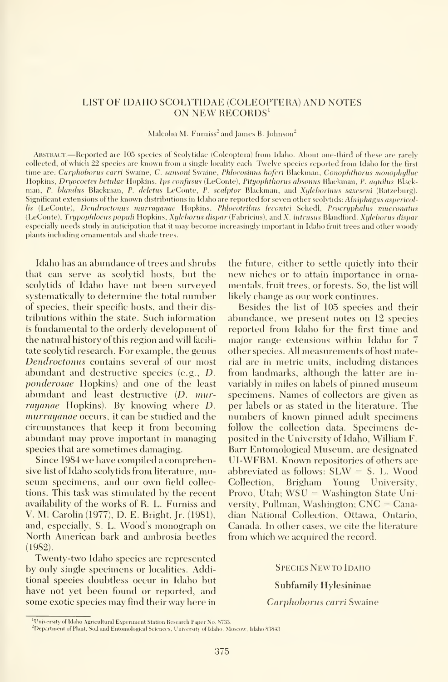## LIST OF IDAHO SCOLYTIDAE (COLEOPTERA) AND NOTES ON NEW RECORDS'

Malcolm M. Furniss<sup>2</sup> and James B. Johnson<sup>2</sup>

ABSTRACT.—Reported are 105 species of Scolytidae (Coleoptera) from Idaho. About one-third of these are rarely collected, of which 22 species are known from <sup>a</sup> single locality each. Twelve species reported from Idaho for the first time are: Carphoborus carri Swaine, C. sansoni Swaine, Phloeosinus hoferi Blackman, Conophthorus monophyllae Hopkins, Dryocoetes betulae Hopkins, Ips confusus (LeConte), Pityophthorus absonus Blackman, P. aquilus Blackman, P. blandus Blackman, P. deletus LeConte, P. scalptor Blackman, and Xyleborinus saxeseni (Ratzeburg). Significant extensions of the known distributions in Idaho are reported for seven other scolvtids: Alniphagus aspericollis (LeConte), Dendroctonus murrayanae Hopkins, Phloeotribus lecontei Schedl, Procryphalus mucronatus (LeConte), Trypophloeus populi Hopkins, Xylcborus dispar (Fabricius), and X. intrusus Blandford. Xyleborus dispar especially needs study in anticipation that it may become increasingly important in Idaho fruit trees and other woody plants including ornamentals and shade trees.

Idaho has an abundance of trees and shrubs that can serve as scolytid hosts, but the scolytids of Idaho have not been surveyed systematically to determine the total number of species, their specific hosts, and their dis tributions within the state. Such information is fundamental to the orderly development of the natural history of this region and will facili tate scolytid research. For example, the genus Dendroctonus contains several of our most abundant and destructive species (e.g., D. ponderosae Hopkins) and one of the least abundant and least destructive (D. murrayanae Hopkins). By knowing where D. murrayanae occurs, it can be studied and the circumstances that keep it from becoming abundant may prove important in managing species that are sometimes damaging.

Since 1984 we have compiled <sup>a</sup> comprehensive list of Idaho scolytids from literature, mu seum specimens, and our own field collections. This task was stimulated by the recent availabilitv of the works of R. L. Furniss and V. M. Carolin (1977), D. E. Bright, Jr. (1981), and, especially, S. L. Wood's monograph on North American bark and ambrosia beetles (1982).

Twenty-two Idaho species are represented by only single specimens or localities. Additional species doubtless occur in Idaho but have not yet been found or reported, and some exotic species may find their way here in the future, either to settle quietly into their new niches or to attain importance in orna mentals, fruit trees, or forests. So, the list will likely change as our work continues.

Besides the list of 105 species and their abundance, we present notes on 12 species reported from Idaho for the first time and major range extensions within Idaho for 7 other species. All measurements of host material are in metric units, including distances from landmarks, although the latter are in variably in miles on labels of pinned museum specimens. Names of collectors are given as per labels or as stated in the literature. The numbers of known pinned adult specimens follow the collection data. Specimens deposited in the University of Idaho, William F. Barr Entomological Museum, are designated UI-WFBM. Known repositories of others are abbreviated as follows:  $SLW = S$ . L. Wood Collection, Brigham Young University, Provo, Utah; WSU = Washington State University, Pullman, Washington; CNC = Canadian National Collection, Ottawa, Ontario, Canada. In other cases, we cite the literature from which we acquired the record.

#### SPECIES NEWTO IDAHO

## Subfamily Hylesininae

## Carphoborus carri Swaine

<sup>&</sup>lt;sup>1</sup>University of Idaho Agricultural Experiment Station Research Paper No. 8733.

<sup>&</sup>lt;sup>2</sup>Department of Plant, Soil and Entomological Sciences, University of Idaho, Moscow, Idaho 83843.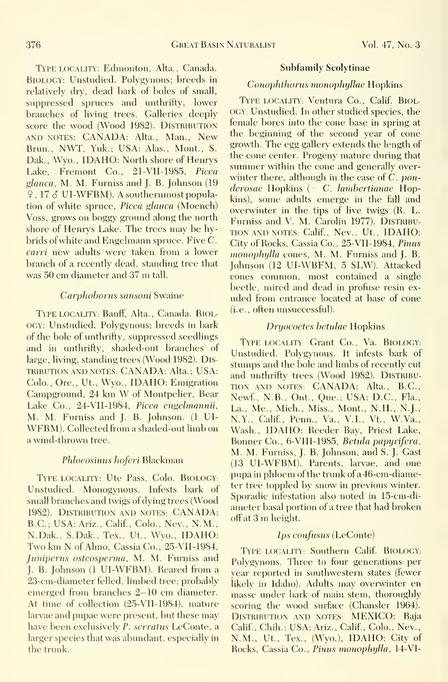Type LOCALITY: Edmonton, Alta., Canada. Biology: Unstudied. Polygynous; breeds in relatively dry, dead bark of boles of small, suppressed spruces and unthrifty, lower branches of living trees. Galleries deeply score the wood (Wood 1982). DISTRIBUTION AND NOTES: CANADA: Alta., Man., New Brun., NWT, Yuk.; USA: Alas., Mont., S. Dak., Wyo., IDAHO: North shore of Henrys Lake, Fremont Co., 21-VII-1985, Picea glauca, M. M. Furniss and J. B. Johnson (19 9, <sup>17</sup> d UI-WFBM). A southernmost population of white spruce, *Picea glauca* (Moench) Voss, grows on boggy ground along the north shore of Henrys Lake. The trees may be hybrids ofwhite and Engelmann spruce. Five C. carri new adults were taken from a lower branch of a recently dead, standing tree that was <sup>50</sup> cm diameter and <sup>37</sup> m tall.

#### Carphoborus sansoni Swaine

TYPE LOCALITY: Banff, Alta., Canada. BIOLogy: Unstudied. Polygynous; breeds in bark of the bole of unthrifty, suppressed seedlings and in unthrifty, shaded-out branches of large, living, standing trees (Wood 1982). Distribution AND NOTES: CANADA: Alta.; USA: Colo., Ore., Ut., Wyo., IDAHO: Emigration Campground, <sup>24</sup> km W of Montpelier, Bear Lake Co., 24-VII-1984, Picea engehnannii, M. M. Furniss and J. B. Johnson. (1 UI- WFBM). Collected from <sup>a</sup> shaded-out limb on a wind-thrown tree.

## Phloeosinus hoferi Blackman

Type locality: Ute Pass, Colo. BiologY: Unstudied. Monogynous. Infests bark of small branches and twigs of dying trees (Wood 1982). Distribution and notes: CANADA: B.C.; USA: Ariz., Calif., Colo., Nev., N.M., N.Dak., S.Dak., Tex., Ut., Wyo., IDAHO: Two km N of Almo, Cassia Co., 25-VII-1984, Juniperus osteosperma, M. M. Furniss and J. B. Johnson (1 UI-WFBM). Reared from <sup>a</sup> 23-cm-diameter felled, limbed tree; probably emerged from branches 2-10 cm diameter. At time of collection (25-VII-1984), mature larvae and pupae were present, but these may have been exclusively P. serratus LeConte, a larger species that was abundant, especially in the trunk.

#### Subfamily Scolytinae

## Conophthorus monophijUae Hopkins

TYPE LOCALITY: Ventura Co., Calif. BIOLogy: Unstudied. In other studied species, the female bores into the cone base in spring at the beginning of the second year of cone growth. The egg gallery extends the length of the cone center. Progeny mature during that summer within the cone and generally over winter there, although in the case of C. pon $derosae$  Hopkins  $(= C.$  lambertianae Hopkins), some adults emerge in the fall and overwinter in the tips of live twigs (R. L. Furniss and V. M. Carolin 1977). DISTRIBU- TION and NOTES: Calif., Nev., Ut., IDAHO: City of Rocks, Cassia Co., 25-VII-1984, Pinus monophylla cones, M. M. Furniss and J. B. Johnson' (12 UI-WBFM, 5 SLW). Attacked cones common, most contained a single beetle, mired and dead in profuse resin ex uded from entrance located at base of cone (i.e., often unsuccessful).

#### Dryocoetes betidae Hopkins

TYPE LOCALITY: Grant Co., Va. BIOLOGY: Unstudied. Polygynous. It infests bark of stumps and the bole and limbs of recently cut and unthrifty trees (Wood 1982). DISTRIBUtion AND NOTES: CANADA: Alta., B.C., Newf., N.B., Ont., Que.; USA: D.C., Fla., La., Me., Mich., Miss., Mont., N.H., N.J., N.Y., Calif., Penn., Va., V.I., Vt., W.Va., Wash., IDAHO: Reeder Bay, Priest Lake, Bonner Co., 6-VIII-1985, Betida papyrifera, M. M. Furniss, J. B. Johnson, and S. J. Cast (13 UI-WFBM). Parents, larvae, and one pupa in phloem of the trunk of a 46-cm-diameter tree toppled by snow in previous winter. Sporadic infestation also noted in 15-cm-diameter basal portion of a tree that had broken off at <sup>3</sup> m height.

#### Ips confusus (LeConte)

Type locality: Southern Calif. BiologY: Polygynous. Three to four generations per year reported in southwestern states (fewer likely in Idaho). Adults may overwinter en masse under bark of main stem, thoroughly scoring the wood surface (Chansler 1964). DISTRIBUTION AND NOTES: MEXICO: Baja Calif., Chih.; USA: Ariz., Calif., Colo., Nev., N.M., Ut., Tex., (Wyo.), IDAHO: City of Rocks, Cassia Co., Pinus monophylla, 14-VI-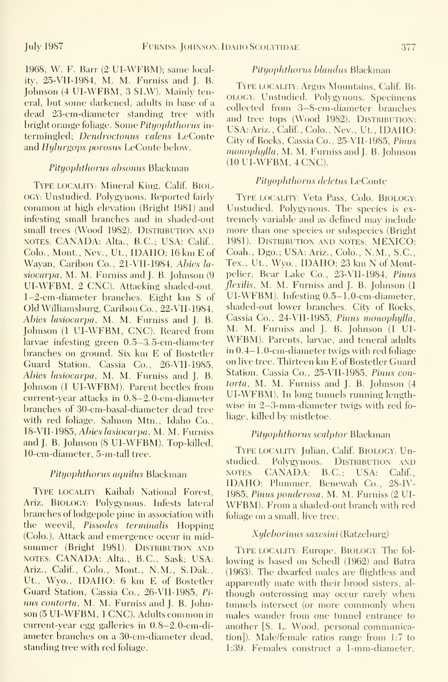1968, W. F. Barr (2 UI-WFBM); same locality, 25-VII-1984, M. M. Furniss and J. B. Johnson (4 UI-WFBM, 3 SLW). Mainly teneral, but some darkened, adults in base of a dead 23-cm-diameter standing tree with bright orange foliage. Some Pityophthorus intermingled; Dendroctonus valens LeConte and Hylurgops porosus LeConte below.

#### Pityophthorus absonus Blackman

Type locality: Mineral King, Calif. BIOL-OGY: Unstudied. Polygynous. Reported fairly common at high elevation (Bright 1981) and infesting small branches and in shaded-out small trees (Wood 1982). DISTRIBUTION AND NOTES: CANADA: Alta., B.C.; USA: Calif., Colo., Mont., Nev., Ut., IDAHO: 16 km E of Wayan, Caribou Co., 21-VII-1984, Abies lasiocarpa, M. M. Furniss and J. B. Johnson (9) UI-WFBM, 2 CNC). Attacking shaded-out, 1-2-cm-diameter branches. Eight km <sup>S</sup> of Old Williamsburg, Caribou Co., 22-VII-I9S4, Abies lasiocarpa, M. M. Furniss and J. B. Cassia Co., 24-VII-1985, Pinus monophylla,<br>Johnson (LUL-WEBM, CNC), Beared from M. M. Furniss and J. B. Johnson (LUI-Johnson (1 UI-WFBM, CNC). Reared from larvae infesting green 0.5-3.5-cm-diameter branches on ground. Six km E of Bostetler Guard Station, Cassia Co., 26-VII-1985, Abies lasiocarpa, M. M. Furniss and J. B. Johnson (1 UI-WFBM). Parent beetles from current-year attacks in 0.8-2.0-cm-diameter branches of 30-cm-basal-diameter dead tree with red foliage. Salmon Mtn., Idaho Co., 18-VII-1985, Abies lasiocarpa, M. M. Furniss and J. B. Johnson (8 UI-WFBM). Top-killed, 10-cm-diameter, 5-m-tall tree.

#### Pityophthorus aquilus Blackman

TYPE LOCALITY: Kaibab National Forest, Ariz. BIOLOGY: Polygynous. Infests lateral branches of lodgepole pine in association with the weevil, Pissodes terminalis Hopping (Colo.). Attack and emergence occur in mid summer (Bright 1981). DISTRIBUTION AND NOTES: CANADA: Alta., B.C., Sask; USA: Ariz., Calif., Colo., Mont., N.M., S.Dak., Ut., Wyo., IDAHO: 6 km E of Bostetler Guard Station, Cassia Co., 26-VII-1985, Pi nus contorta, M. M. Furniss and J. B. Johnson (5 UI-WFBM, <sup>1</sup> CNC). Adults common in current-year egg galleries in 0.8-2.0-cm-diameter branches on a 30-cm-diameter dead, standing tree with red foliage.

## Pityophthorus blandus Blackman

Type locality: Argus Mountains, Calif. BI- OLOGY: Unstudied. Polygynous. Specimens collected from 3-8-cm-diameter branches and tree tops (Wood 1982). DISTRIBUTION: USA: Ariz., Calif., Colo., Nev., Ut., IDAHO: City of Rocks, Cassia Co., 25-VII-1985, Pimis monophylla, M. M. Furniss and J. B. Johnson (10 UI-WFBM, 4 CNC).

#### Pityophthonis deletus LeConte

Type locality: Veta Pass, Colo. BiologY: Unstudied. Polygynous. The species is ex tremely variable and as defined may include more than one species or subspecies (Bright 1981). Distribution and notes: MEXICO: Coah., Dgo.; USA: Ariz., Colo., N.M., S.C, Tex., Ut., Wyo., IDAHO: 23 km N of Montpelier, Bear Lake Co., 23-VII-1984, Pinus flexilis, M. M. Furniss and J. B. Johnson (1) UI-WFBM). Infesting 0.5-1. 0-cm-diameter, shaded-out lower branches. City of Rocks, Cassia Co., 24-VII-1985, Pimis monophylla, WFBM). Parents, larvae, and teneral adults in 0.4-1. 0-cm-diameter twigs with red foliage on live tree. Thirteen km E of Bostetler Guard Station, Cassia Co., 25-VII-1985, Pinus contorta, M. M. Furniss and J. B. Johnson (4) UI-WFBM). In long tunnels running lengthwise in 2-3-mm-diameter twigs with red fo liage, killed by mistletoe.

#### Pityophthorus scalptor Blackman

TYPE LOCALITY: Julian, Calif. BIOLOGY: Unstudied. Polygynous. DISTRIBUTION AND NOTES: CANADA: B.C.; USA: Calif., IDAHO: Plummer, Benewah Co., 28-IV-1985, Pinus ponderosa, M. M. Furniss (2 UI- WFBM). From <sup>a</sup> shaded-out branch with red foliage on a small, live tree.

#### Xyleborinus saxesini (Ratzeburg)

Type locality': Europe. BiologY; The fol lowing is based on Schedl (1962) and Batra (1963). The dwarfed males are flightless and apparently mate with their brood sisters, al though outcrossing may occur rarely when tunnels intersect (or more commonly when males wander from one tunnel entrance to another [S. L. Wood, personal communication]). Male/female ratios range from 1:7 to 1:39. Females construct a 1-mm-diameter,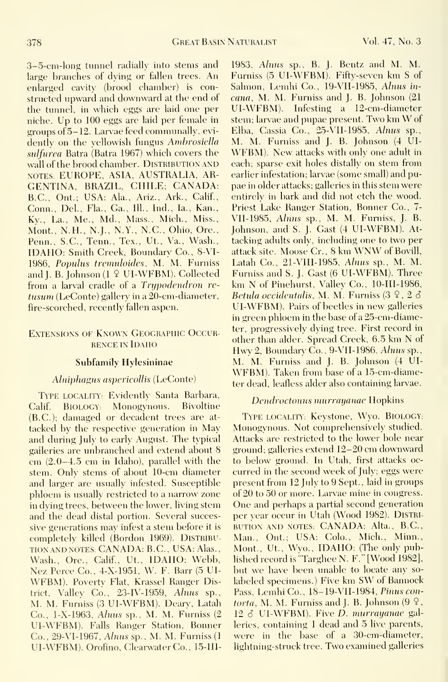3-5-cni-long tunnel radially into stems and large branches of dying or fallen trees. An enlarged cavity (brood chamber) is constructed upward and downward at the end of the tunnel, in which eggs are laid one per niche. Up to 100 eggs are laid per female in groups of  $5-12$ . Larvae feed communally, evidently on the yellowish fungus Ambrosiella sulfurea Batra (Batra 1967) which covers the wall of the brood chamber. DISTRIBUTION AND NOTES: EUROPE, ASIA, AUSTRALIA, AR-GENTINA, BRAZIL, CHILE; CANADA: B.C., Ont.; USA: Ala., Ariz., Ark., Calif., Conn., Del., Fla., Ga., 111., Ind., la., Kan., Ky., La., Me., Md., Mass., Mich., Miss., Mont., N.H., N.J., N.Y., N.C., Ohio, Ore., Penn., S.C, Tenn., Tex., Ut., Va., Wash., IDAHO: Smith Creek, Boundary Co., 8-VI-19S6, Popidus tremuloides, M. M. Furniss and I. B. Johnson (1 9 UI-WFBM). Collected from a larval cradle of a Trypodendron retusum (LeConte) gallery in a 20-cm-diameter, fire-scorched, recently fallen aspen.

## Extensions of Known Geographic Occur rence IN Idaho

### Subfamily Hylesininae

### Alniphagus aspericollis (LeConte)

Type locality; Evidently Santa Barbara, Calif. BIOLOGY: Monogynous. Bivoltine (B.C.); damaged or decadent trees are at tacked by the respective generation in May and during July to early August. The typical galleries are unbranched and extend about 8 cm (2.0-4.5 cm in Idaho), parallel with the stem. Only stems of about 10-cm diameter and larger are usually infested. Susceptible phloem is usually restricted to a narrow zone in dying trees, between the lower, living stem and the dead distal portion. Several successive generations may infest a stem before it is completely killed (Bordon 1969). DISTRIBUtion AND NOTES: CANADA: B.C., USA: Alas., Wash., Ore., Calif., Ut., IDAHO: Webb, Nez Perce Co., 4-X-1951, W. F. Barr (5 UI- WFBM). Povertv Flat, Krassel Ranger District, Valley Co.,  $23$ -IV-1959, Alnus sp., M. M. Furniss (3 UI-WFBM). Deary, Latah Co., l-X-1963, Alnus sp., M. M. Furniss (2 UI-WFBM). Falls Ranger Station, Bonner Co., 29-VI-1967, Alnus sp., M. M. Furniss (1 UI-WFBM). Orofino, Clearwater Co., 15-III-

1983, Alnus sp., B. J. Bentz and M. M. Furniss (5 UI-WFBM). Fiftv-seven km <sup>S</sup> of Salmon, Lemhi Co., 19-VII-1985, Alnus in*cana*, M. M. Furniss and J. B. Johnson  $(21)$ UI-WFBM). Infesting <sup>a</sup> 12-cm-diameter stem; larvae and pupae present. Two km W of Elba, Cassia Co., 25-VII-1985, Alnus sp., M. M. Furniss and J. B. Johnson (4 UI- WFBM). New attacks with only one adult in each; sparse exit holes distally on stem from earlier infestation; larvae (some small) and pu pae in older attacks; galleries in this stem were entirely in bark and did not etch the wood. Priest Lake Ranger Station, Bonner Co., 7- VII-1985, Alnus sp., M. M. Furniss, J. B. Johnson, and S. J. Cast (4 UI-WFBM). At tacking adults onlv, including one to two per attack site. Moose Cr., <sup>8</sup> km WNW of Bovill, Latah Co., 21-VIII-1985, Alnus sp., M. M. Furniss and S. J. Cast (6 UI-WFBM). Three km N of Pinehurst, Valley Co., 10-III-1986, Betula occidentalis, M. M. Furniss  $(3 \, 9, 2 \, 3)$ UI-WFBM). Pairs of beetles in new galleries in green phloem in the base of a25-cm-diameter, progressively dying tree. First record in other than alder. Spread Creek, 6.5 km N of Hwy 2, Boundary Co., 9-VII-1986, Alnus sp., M. M. Furniss and J. B. Johnson (4 UI- WFBM). Taken from base of <sup>a</sup> 15-cm-diameter dead, leafless alder also containing larvae.

### Dendroctonus murrayanae Hopkins

Type locality; Keystone, Wyo. BiologY: Monogynous. Not comprehensively studied. Attacks are restricted to the lower bole near ground; galleries extend 12-20 cm downward to below ground. In Utah, first attacks oc curred in the second week of July; eggs were present from 12 July to 9 Sept., laid in groups of 20 to 50 or more. Larvae mine in congress. One and perhaps <sup>a</sup> partial second generation per year occur in Utah (Wood 1982). Distribution AND NOTES; CANADA: Alta., B.C., Man., Ont.; USA: Colo., Mich., Minn., Mont., Ut., Wvo., IDAHO: (The only published record is "Targhee N. F." [Wood 1982], but we have been unable to locate any so labeled specimens.) Five km SW of Bannock Pass, Lemhi Co., 18-19-VII-1984, Pinus con*torta*, M. M. Furniss and J. B. Johnson  $(9 \, 2, 1)$  $12 \delta$  UI-WFBM). Five *D. murrayanae* galleries, containing <sup>1</sup> dead and 5 live parents, were in the base of a 30-cm-diameter, lightning-struck tree. Two examined galleries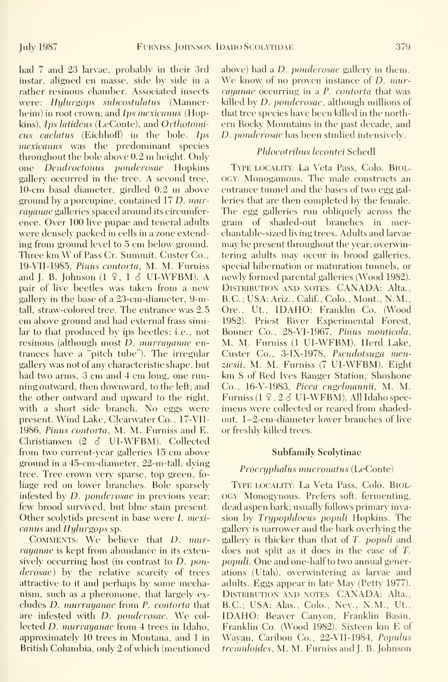had  $7$  and  $23$  larvae, probably in their 3rd instar, aligned en masse, side by side in a rather resinous chamber. Associated insects were: Hylurgops subcostulatus (Mannerheim) in root crown; and Ips mexicanus (Hopkins), Ips latidens (LeConte), and Orthotomicus caelatus (Eichhoff) in the bole. Ips mexicanus was the predominant species throughout the bole above 0.2 ni height. Only one Dendroctonus ponderosae Hopkins gallery occurred in the tree. A second tree, 10-cm basal diameter, girdled 0.2 m above ground by a porcupine, contained 17 D. murrayanae galleries spaced around its circumference. Over 100 live pupae and teneral adults were densely packed in cells in a zone extending from ground level to 5 cm below ground. Three km W of Pass Cr. Summit, Custer Co., 19-VII-1985, Pinus contorta, M. M. Furniss and J. B. Johnson  $(1 \t9, 1 \t3 \tU1-WFBM)$ . A pair of live beetles was taken from a new gallery in the base of a 23-cm-diameter, 9-mtall, straw-colored tree. The entrance was 2.5 cm above ground and had external frass similar to that produced by ips beetles; i.e., not resinous (although most D. murrayanae entrances have a "pitch tube"). The irregular gallery was not of any characteristic shape, but had two arms, 3 cm and 4 cm long, one running outward, then downward, to the left; and the other outward and upward to the right, with a short side branch. No eggs were present. Wind Lake, Clearwater Co., 17-VII-1986, Pinus contorta, M. M. Furniss and E. Christiansen (2 S UI-WFBM). Collected from two current-year galleries 15 cm above ground in a 45-cm-diameter, 22-m-tall, dying tree. Tree crown very sparse, top green, fo liage red on lower branches. Bole sparsely infested by *D. ponderosae* in previous year; few brood survived, but blue stain present. Other scolvtids present in base were *L. mexi*canus and Hylurgops sp.

COMMENTS: We believe that D. murrayanae is kept from abundance in its extensively occurring host (in contrast to D. ponderosae) by the relative scarcity of trees attractive to it and perhaps by some mechanism, such as a pheromone, that largely ex cludes D. murrayanae from P. contorta that are infested with D. ponderosae. We col lected *D. murrayanae* from 4 trees in Idaho, approximately 10 trees in Montana, and <sup>1</sup> in British Columbia, onlv 2 of which (mentioned

above) had a *D. ponderosae* gallery in them. We know of no proven instance of *D*. murrayanae occurring in a P. contorta that was killed by D. ponderosae, although millions of that tree species have been killed in the north ern Rocky Mountains in the past decade, and D. ponderosae has been studied intensively.

## Phloeotribus lecontei Schedl

Type locality': La Veta Pass, Colo. Biology: Monogamous. The male constructs an entrance tunnel and the bases of two egg gal leries that are then completed by the female. The egg galleries run obliquely across the grain of shaded-out branches in merchantable-sized living trees. Adults and larvae may be present throughout the year; overwintering adults may occur in brood galleries, special hibernation or maturation tunnels, or newly formed parental galleries (Wood 1982). DISTRIBUTION AND NOTES: CANADA: Alta., B.C. ; USA: Ariz. , Calif. , Colo. , Mont. , N. M. Ore., Ut., IDAHO: Franklin Co. (Wood 1982). Priest River Experimental Forest, Bonner Co., 28-VI-1967, Pinus monticola, M. M. Furniss (1 UI-WFBM). Herd Lake, Custer Co., 3-IX-1978, Pseudotsuga menziesii, M. M. Furniss (7 UI-WFBM). Eight km S of Red Ives Ranger Station, Shoshone Co., 16-V-1983, Picea engelmannii, M. M. Furniss  $(1 \n9. 2 \n3 \nU I-WFBM)$ . All Idaho specimens were collected or reared from shadedout, 1-2-cm-diameter lower branches of live or freshly killed trees.

#### Subfamily Scolytinae

## Procryphalus mucronatus (LeConte)

TYPE LOCALITY: La Veta Pass, Colo. BIOLogy: Monogynous. Prefers soft, fermenting, dead aspen bark; usually follows primary invasion by Trupophloeus populi Hopkins. The gallery is narrower and the bark overlying the gallery is thicker than that of T. populi and does not split as it does in the case of T. popidi. One and one-half to two annual generations (Utah), overwintering as larvae and adults. Eggs appear in late May (Petty 1977). DISTRIBUTION AND NOTES: CANADA: Alta., B.C.; USA: Alas., Colo., Nev., N.M., Ut., IDAHO: Beaver Canvon, Franklin Basin, Franklin Co. (Wood 1982). Sixteen km E of Wayan, Caribou Co., 22-VII-1984, Populus tremuloides, M. M. Furniss and J. B. Johnson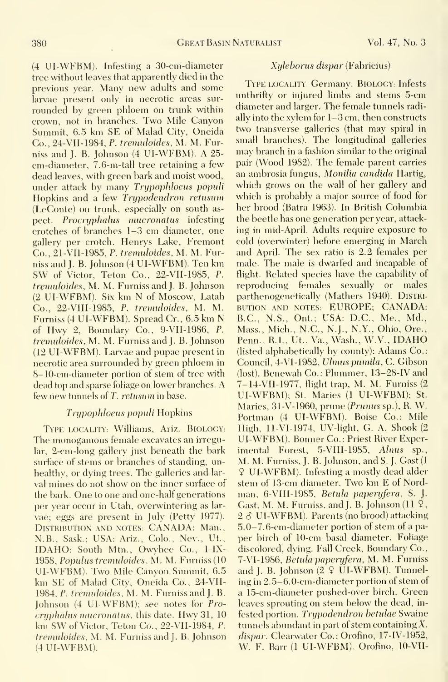(4 UI-WFBM). Infesting a 30-cm-diameter tree without leaves that apparently died in the previous year. Many new adults and some larvae present only in necrotic areas sur rounded by green phloem on trunk within crown, not in branches. Two Mile Canyon Summit, 6.5 km SE of Malad City, Oneida Co., 24-VII-1984, P. tremidoides, M. M. Furniss and J. B. Johnson (4 UI-WFBM). A 25 cm-diameter, 7.6-m-tall tree retaining a few dead leaves, with green bark and moist wood, under attack by many Trypophloeus populi Hopkins and a few Trypodendron retusum (LeConte) on trunk, especially on south as pect. Procryphalus mucronatus infesting crotches of branches 1-3 cm diameter, one gallery per crotch. Henrys Lake, Fremont Co., 21-VII-1985, P. tremidoides, M. M. Furniss and J. B. Johnson (4 UI-WFBM). Ten km SW of Victor, Teton Co., 22-VII-1985, P. tremuloides, M. M. Furniss and J. B. Johnson (2 UI-WFBM). Six km N of Moscow, Latah Co., 22-VIII-1985, P. tremidoides, M. M. Furniss (4 UI-WFBM). Spread Cr., 6.5 km N of Hwy 2, Boundary Co., 9-VII-1986, P. tremuloides, M. M. Furniss and J. B. Johnson (12 UI-WFBM). Larvae and pupae present in necrotic area surrounded by green phloem in 8-10-cm-diameter portion of stem of tree with dead top and sparse foliage on lower branches. A few new tunnels of T. retusum in base.

## Trypophloeus populi Hopkins

Type locality; Williams, Ariz. BiOLOGY: The monogamous female excavates an irregular, 2-cm-long gallery just beneath the bark surface of stems or branches of standing, unhealthy, or dying trees. The galleries and lar val mines do not show on the inner surface of the bark. One to one and one-half generations per year occur in Utah, overwintering as lar vae; eggs are present in July (Petty 1977). Distribution and notes: CANADA: Man., N.B., Sask.; USA: Ariz., Colo., Nev., Ut., IDAHO: South Mtn., Owyhee Co., 1-IX- 1958, Popidus tremidoides, M. M. Furniss (10 UI-WFBM). Two Mile Canvon Summit, 6.5 km SE of Malad City, Oneida Co., 24-VII-1984, P. tremuloides, M. M. Furniss and J. B. Johnson (4 UI-WFBM); see notes for Pro cryphalus mucronatus, this date. Hwy 31, <sup>10</sup> km SW of Victor, Teton Co., 22-VII-1984, P. tremuloides, M. M. Furniss and J. B. Johnson (4 UI-WFBM).

### Xylehorus dispar (Fabricius)

Type locality': Germany. BiologY; Infests unthrifty or injured limbs and stems 5-cm diameter and larger. The female tunnels radially into the xylem for 1-3 cm, then constructs two transverse galleries (that may spiral in small branches). The longitudinal galleries may branch in a fashion similar to the original pair (Wood 1982). The female parent carries an ambrosia fungus, Monilia Candida Hartig, which grows on the wall of her gallery and which is probably a major source of food for her brood (Batra 1963). In British Columbia the beetle has one generation per year, attack ing in mid-April. Adults require exposure to cold (overwinter) before emerging in March and April. The sex ratio is 2.2 females per male. The male is dwarfed and incapable of flight. Related species have the capability of reproducing females sexually or males parthenogenetically (Mathers 1940). DISTRIbution AND NOTES: EUROPE; CANADA: B.C., N.S., Ont.; USA: DC, Me., Md., Mass., Mich.. N.C., N.J., N.Y., Ohio, Ore., Penn., R.I., Ut., Va., Wash., W.V., IDAHO (listed alphabeticallv by county): Adams Co.: Council, 4-VI-1982, Ulmus pumila, C. Gibson (lost). Benewah Co.: Plummer, 13-28-IV and 7-14-VII-1977, flight trap, M. M. Furniss (2 UI-WFBM); St. Maries (1 UI-WFBM); St. Maries, 31-V-1960, prune {Primus sp.), R. W. Portman (4 UI-WFBM). Boise Co.: Mile High, ll-VI-1974, UV-light, G. A. Shook (2 UI-WFBM). Bonner Co.: Priest River Experimental Forest, 5-VIII-1985, Alnus sp., M. M. Furniss, J. B. Johnson, and S. J. Cast (1 9 UI-WFBM). Infesting <sup>a</sup> mostly dead alder stem of 13-cm diameter. Two km E of Nordman, 6-VIII-1985, Betula paperyfera, S. J. Gast, M. M. Furniss, and I. B. Johnson  $(11 \, 9, 1)$  $2\delta$  UI-WFBM). Parents (no brood) attacking 5.0-7.6-cm-diameter portion of stem of a pa per birch of 10-cm basal diameter. Foliage discolored, dying. Fall Creek, Boundary Co., 7-VI-1986, Betula paperyfera, M. M. Furniss and I. B. Johnson  $(2 \nsubseteq$  UI-WFBM). Tunneling in 2.5-6.0-cm-diameter portion of stem of a 15-cm-diameter pushed-over birch. Green leaves sprouting on stem below the dead, in fested portion. Trypodendron hetulae Swaine tunnels abundant in part of stem containing X. dispar. Clearwater Co.: Orofino, 17-IV-1952, W. F. Barr (1 UI-WFBM). Orofino, 10-VII-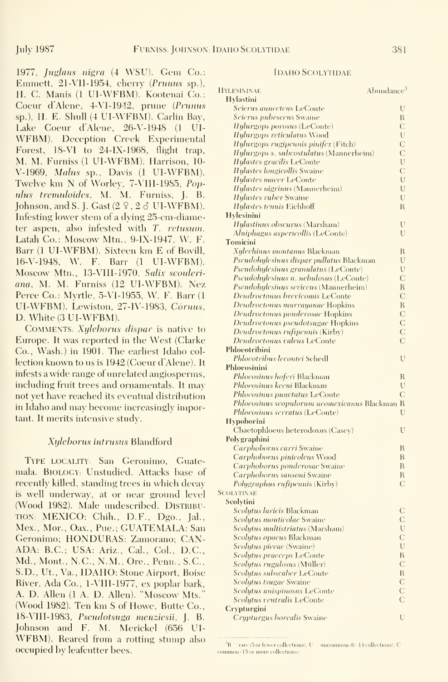1977, Juglons nigra (4 WSU). Gem Co.: Emmett, 21-VII-1954, cherry (Prunus sp.), H. C. Manis (I UI-WFBM). Kootenai Co.: Coeur d'Alene, 4-VI-1942, prune (Prunus sp.). H. E. Shull (4 UI-WFBM). Carlin Bav, Lake Coeur d'Alene, 26-V-1948 (I UI-WFBM). Deception Creek Experimental Forest, 18-VI to 24-IX-1968, flight trap, M. M. Furniss (1 Ul-WFBM). Harrison, 10- V-1969, Malus sp., Davis (1 UI-WFBM). Twelve km N of Worley, 7-V11I-1985, Popnlns tremnloidcs, M. M. Furniss, J. B. Johnson, and S. J. Gast  $(2 \, 2 \, 3 \, 11-WFBM)$ . Infesting lower stem of a dying 25-cm-diameter aspen, also infested with T. retusum. Latah Co.: Moscow Mtn., 9-1X-1947, W. F. Barr (1 UI-WFBM). Sixteen km E of Bovill, 16-V-1948, W. F. Barr (1 Ul-WFBM). Moscow Mtn., 13-VHI-I970, Salix sconlcri ana, M. M. Furniss (12 Ul-WFBM). Nez Perce Co.: Myrtle, 5-V1-1955, W. F. Barr (1 UI-WFBM). Lewiston, 27-IV-1983, Cornus, D. White (3 UI-WFBM).

COMMENTS: Xyleborus dispar is native to Europe. It was reported in the West (Clarke Co., Wash.) in 1901. The earliest Idaho col lection known to us is 1942 (Coeur d'Alene). It infests a wide range of unrelated angiosperms, including fruit trees and ornamentals. It may not yet have reached its eventual distribution in Idaho and may become increasingly important. It merits intensive study.

## Xyleborns intrnsus Blandford

Type locality'; San Geronimo, Guatemala. BiOLOGV: Unstudied. Attacks base of recently killed, standing trees in which decay is well underway, at or near ground level (Wood 1982). Male undescribed. Distribution: MEXICO: Chih., D.F., Dgo., Jal., Mex., Mor., Oax., Pue.; GUATEMALA: San Geronimo; HONDURAS: Zamorano; CAN-ADA: B.C.; USA: Ariz., Gal., Col., D.C., Md., Mont., N.C., N.M., Ore., Penn., S.C, S.D., Ut., Va., IDAHO: Stone Airport, Boise River, Ada Co., l-VHl-1977, ex poplar bark, A. D. Allen (1 A. D. Allen). "Moscow Mts." (Wood 1982). Ten km <sup>S</sup> of Howe, Butte Co., 18-Vni-1983, Pscndotsnga menziesii, J. B. Johnson and F. M. Merickel (656 UI- WFBM). Reared from <sup>a</sup> rotting stump also occupied by leafcutter bees.

#### Idaho SCOLYTIDAE

| HYLESININAE<br>Hylastini                       | Abundance <sup>3</sup> |  |
|------------------------------------------------|------------------------|--|
| Scierus annectens LeConte                      | U                      |  |
| Scierus pubescens Swaine                       | R                      |  |
| Hylurgops porosus (LeConte)                    | C                      |  |
| Hylurgops reticulatus Wood                     | U                      |  |
| Hylurgops rugipennis pinifex (Fitch)           | $\overline{C}$         |  |
| Hylurgops s. subcostulatus (Mannerheim)        | $\overline{C}$         |  |
| Hylastes gracilis LeConte                      | U                      |  |
| Hylastes longicollis Swaine                    | C                      |  |
| <i>Hylastes macer</i> LeConte                  | U                      |  |
| <i>Hylastes nigrinus</i> (Mannerheim)          | U                      |  |
| <b>Hylastes ruber Swaine</b>                   | U                      |  |
| Hylastes tenuis Eichhoff                       |                        |  |
|                                                | $\mathbb{R}$           |  |
| Hylesinini                                     |                        |  |
| Hylastinus obscurus (Marsham)                  | U                      |  |
| Alniphagus aspericollis (LeConte)              | U                      |  |
| Tomicini                                       |                        |  |
| Xylechinus montanus Blackman                   | R                      |  |
| Pseudohylesinus dispar pullatus Blackman       | U                      |  |
| Pseudohylesinus granulatus (LeConte)           | U                      |  |
| Pseudolujlesinus n. nebulosus (LeConte)        | C                      |  |
| Pseudoliylesinus sericeus (Mannerheim)         | $\mathbb{R}$           |  |
| Dendroctonus brevicomis LeConte                | C                      |  |
| Dendroctonus murrayanae Hopkins                | R                      |  |
| Dendroctonus ponderosae Hopkins                | C                      |  |
| Dendroctonus pseudotsugae Hopkins              | C                      |  |
| Dendroctonus rufipennis (Kirby)                | C                      |  |
| Dendroctonus valens LeConte                    | C                      |  |
| Phloeotribini                                  |                        |  |
| Phloeotribus lecontei Schedl                   | U                      |  |
| Phloeosinini                                   |                        |  |
| Phloeosinus hoferi Blackman                    | R                      |  |
| <i>Phloeosinus keeni</i> Blackman              | U                      |  |
| Phloeosinus punctatus LeConte                  | C                      |  |
| Phloeosinus scopulorum neomexicanus Blackman R |                        |  |
| <i>Phloeosinus serratus</i> (LeConte)          | U                      |  |
| Hypoborini                                     |                        |  |
| Chaetophloeus heterodoxus (Casey)              | U                      |  |
| Polygraphini                                   |                        |  |
| Carphoborus carri Swaine                       | R                      |  |
| Carphoborus pinicolens Wood                    | R                      |  |
| Carphoborus ponderosae Swaine                  | $\mathbb{R}$           |  |
| Carphoborus sansoni Swaine                     | R                      |  |
| Polygraphus rufipennis (Kirby)                 | $\overline{C}$         |  |
| <b>SCOLYTINAE</b>                              |                        |  |
| Scolytini                                      |                        |  |
|                                                |                        |  |
| S <i>colutus laricis</i> Blackman              | С                      |  |
| Scolytus monticolae Swaine                     | C                      |  |
| <i>Scolytus multistriatus (Marsham)</i>        | U                      |  |
| Scolytus opacus Blackman                       | C                      |  |
| Scolytus piceae (Swaine)                       | U                      |  |
| Scolytus praeceps LeConte                      | R                      |  |
| Scolytus rugulosus (Müller)                    | $\mathcal{C}$          |  |
| Scolytus subscaber LeConte                     | $\mathbb{R}$           |  |
| <i>Scolutus tsugae Swa</i> ine                 | C                      |  |
| Scolytus unispinosus LeConte                   | $\overline{C}$         |  |
| Scolytus ventralis LeConte                     | $\mathcal{C}$          |  |
| Crypturgini                                    |                        |  |
| Crypturgus borealis Swaine                     | U                      |  |

 $R =$  rare (5 or fewer collections), U uncommon (6–14 collections), C common ( <sup>15</sup> or more collections).